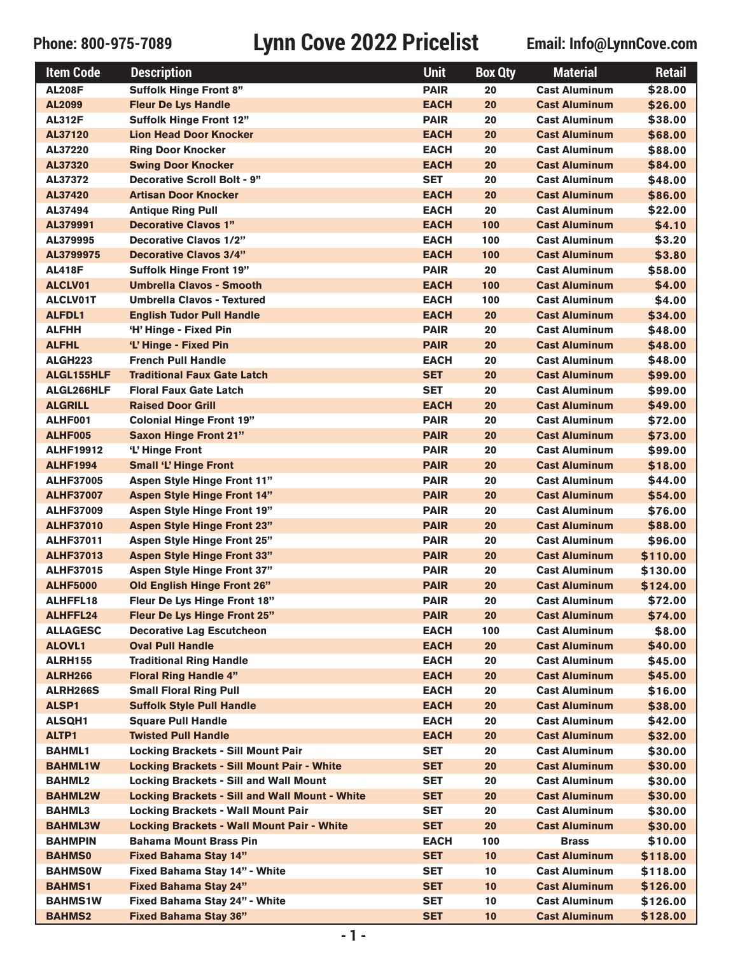| <b>Item Code</b>  | <b>Description</b>                                    | <b>Unit</b> | <b>Box Qty</b> | <b>Material</b>      | <b>Retail</b> |
|-------------------|-------------------------------------------------------|-------------|----------------|----------------------|---------------|
| <b>AL208F</b>     | <b>Suffolk Hinge Front 8"</b>                         | <b>PAIR</b> | 20             | <b>Cast Aluminum</b> | \$28.00       |
| AL2099            | <b>Fleur De Lys Handle</b>                            | <b>EACH</b> | 20             | <b>Cast Aluminum</b> | \$26.00       |
| <b>AL312F</b>     | <b>Suffolk Hinge Front 12"</b>                        | <b>PAIR</b> | 20             | <b>Cast Aluminum</b> | \$38.00       |
| AL37120           | <b>Lion Head Door Knocker</b>                         | <b>EACH</b> | 20             | <b>Cast Aluminum</b> | \$68.00       |
| AL37220           | <b>Ring Door Knocker</b>                              | <b>EACH</b> | 20             | <b>Cast Aluminum</b> | \$88.00       |
| AL37320           | <b>Swing Door Knocker</b>                             | <b>EACH</b> | 20             | <b>Cast Aluminum</b> | \$84.00       |
| AL37372           | <b>Decorative Scroll Bolt - 9"</b>                    | <b>SET</b>  | 20             | <b>Cast Aluminum</b> | \$48.00       |
| AL37420           | <b>Artisan Door Knocker</b>                           | <b>EACH</b> | 20             | <b>Cast Aluminum</b> | \$86.00       |
| AL37494           | <b>Antique Ring Pull</b>                              | <b>EACH</b> | 20             | <b>Cast Aluminum</b> | \$22.00       |
| AL379991          | <b>Decorative Clavos 1"</b>                           | <b>EACH</b> | 100            | <b>Cast Aluminum</b> | \$4.10        |
| AL379995          | <b>Decorative Clavos 1/2"</b>                         | <b>EACH</b> | 100            | <b>Cast Aluminum</b> | \$3.20        |
| AL3799975         | <b>Decorative Clavos 3/4"</b>                         | <b>EACH</b> | 100            | <b>Cast Aluminum</b> | \$3.80        |
| <b>AL418F</b>     | <b>Suffolk Hinge Front 19"</b>                        | <b>PAIR</b> | 20             | <b>Cast Aluminum</b> | \$58.00       |
| ALCLV01           | <b>Umbrella Clavos - Smooth</b>                       | <b>EACH</b> | 100            | <b>Cast Aluminum</b> | \$4.00        |
| <b>ALCLV01T</b>   | <b>Umbrella Clavos - Textured</b>                     | <b>EACH</b> | 100            | <b>Cast Aluminum</b> | \$4.00        |
| <b>ALFDL1</b>     | <b>English Tudor Pull Handle</b>                      | <b>EACH</b> | 20             | <b>Cast Aluminum</b> | \$34.00       |
| <b>ALFHH</b>      | 'H' Hinge - Fixed Pin                                 | <b>PAIR</b> | 20             | <b>Cast Aluminum</b> | \$48.00       |
| <b>ALFHL</b>      | 'L' Hinge - Fixed Pin                                 | <b>PAIR</b> | 20             | <b>Cast Aluminum</b> | \$48.00       |
| ALGH223           | <b>French Pull Handle</b>                             | <b>EACH</b> | 20             | <b>Cast Aluminum</b> | \$48.00       |
| <b>ALGL155HLF</b> | <b>Traditional Faux Gate Latch</b>                    | <b>SET</b>  | 20             | <b>Cast Aluminum</b> | \$99.00       |
| ALGL266HLF        | <b>Floral Faux Gate Latch</b>                         | <b>SET</b>  | 20             | <b>Cast Aluminum</b> | \$99.00       |
| <b>ALGRILL</b>    | <b>Raised Door Grill</b>                              | <b>EACH</b> | 20             | <b>Cast Aluminum</b> | \$49.00       |
| ALHF001           | <b>Colonial Hinge Front 19"</b>                       | <b>PAIR</b> | 20             | <b>Cast Aluminum</b> | \$72.00       |
| ALHF005           | <b>Saxon Hinge Front 21"</b>                          | <b>PAIR</b> | 20             | <b>Cast Aluminum</b> | \$73.00       |
| <b>ALHF19912</b>  | 'L' Hinge Front                                       | <b>PAIR</b> | 20             | <b>Cast Aluminum</b> | \$99.00       |
| <b>ALHF1994</b>   | <b>Small 'L' Hinge Front</b>                          | <b>PAIR</b> | 20             | <b>Cast Aluminum</b> | \$18.00       |
| <b>ALHF37005</b>  | <b>Aspen Style Hinge Front 11"</b>                    | <b>PAIR</b> | 20             | <b>Cast Aluminum</b> | \$44.00       |
| <b>ALHF37007</b>  | <b>Aspen Style Hinge Front 14"</b>                    | <b>PAIR</b> | 20             | <b>Cast Aluminum</b> | \$54.00       |
| <b>ALHF37009</b>  | <b>Aspen Style Hinge Front 19"</b>                    | <b>PAIR</b> | 20             | <b>Cast Aluminum</b> | \$76.00       |
| <b>ALHF37010</b>  | <b>Aspen Style Hinge Front 23"</b>                    | <b>PAIR</b> | 20             | <b>Cast Aluminum</b> | \$88.00       |
| <b>ALHF37011</b>  | <b>Aspen Style Hinge Front 25"</b>                    | <b>PAIR</b> | 20             | <b>Cast Aluminum</b> | \$96.00       |
| <b>ALHF37013</b>  | <b>Aspen Style Hinge Front 33"</b>                    | <b>PAIR</b> | 20             | <b>Cast Aluminum</b> | \$110.00      |
| <b>ALHF37015</b>  | Aspen Style Hinge Front 37"                           | <b>PAIR</b> | 20             | <b>Cast Aluminum</b> | \$130.00      |
| <b>ALHF5000</b>   | <b>Old English Hinge Front 26"</b>                    | <b>PAIR</b> | 20             | <b>Cast Aluminum</b> | \$124.00      |
| <b>ALHFFL18</b>   | Fleur De Lys Hinge Front 18"                          | <b>PAIR</b> | 20             | <b>Cast Aluminum</b> | \$72.00       |
| <b>ALHFFL24</b>   | Fleur De Lys Hinge Front 25"                          | <b>PAIR</b> | 20             | <b>Cast Aluminum</b> | \$74.00       |
| <b>ALLAGESC</b>   | <b>Decorative Lag Escutcheon</b>                      | <b>EACH</b> | 100            | <b>Cast Aluminum</b> | \$8.00        |
| <b>ALOVL1</b>     | <b>Oval Pull Handle</b>                               | <b>EACH</b> | 20             | <b>Cast Aluminum</b> | \$40.00       |
| <b>ALRH155</b>    | <b>Traditional Ring Handle</b>                        | <b>EACH</b> | 20             | <b>Cast Aluminum</b> | \$45.00       |
| <b>ALRH266</b>    | <b>Floral Ring Handle 4"</b>                          | <b>EACH</b> | 20             | <b>Cast Aluminum</b> | \$45.00       |
| ALRH266S          | <b>Small Floral Ring Pull</b>                         | <b>EACH</b> | 20             | <b>Cast Aluminum</b> | \$16.00       |
| <b>ALSP1</b>      | <b>Suffolk Style Pull Handle</b>                      | <b>EACH</b> | 20             | <b>Cast Aluminum</b> | \$38.00       |
| <b>ALSQH1</b>     | <b>Square Pull Handle</b>                             | <b>EACH</b> | 20             | <b>Cast Aluminum</b> | \$42.00       |
| ALTP1             | <b>Twisted Pull Handle</b>                            | <b>EACH</b> | 20             | <b>Cast Aluminum</b> | \$32.00       |
| <b>BAHML1</b>     | <b>Locking Brackets - Sill Mount Pair</b>             | <b>SET</b>  | 20             | <b>Cast Aluminum</b> | \$30.00       |
| <b>BAHML1W</b>    | <b>Locking Brackets - Sill Mount Pair - White</b>     | <b>SET</b>  | 20             | <b>Cast Aluminum</b> | \$30.00       |
| <b>BAHML2</b>     | <b>Locking Brackets - Sill and Wall Mount</b>         | <b>SET</b>  | 20             | <b>Cast Aluminum</b> | \$30.00       |
| <b>BAHML2W</b>    | <b>Locking Brackets - Sill and Wall Mount - White</b> | <b>SET</b>  | 20             | <b>Cast Aluminum</b> | \$30.00       |
| <b>BAHML3</b>     | <b>Locking Brackets - Wall Mount Pair</b>             | <b>SET</b>  | 20             | <b>Cast Aluminum</b> | \$30.00       |
| <b>BAHML3W</b>    | <b>Locking Brackets - Wall Mount Pair - White</b>     | <b>SET</b>  | 20             | <b>Cast Aluminum</b> | \$30.00       |
| <b>BAHMPIN</b>    | <b>Bahama Mount Brass Pin</b>                         | <b>EACH</b> | 100            | <b>Brass</b>         | \$10.00       |
| <b>BAHMS0</b>     | <b>Fixed Bahama Stay 14"</b>                          | <b>SET</b>  | 10             | <b>Cast Aluminum</b> | \$118.00      |
| <b>BAHMS0W</b>    | Fixed Bahama Stay 14" - White                         | <b>SET</b>  | 10             | <b>Cast Aluminum</b> | \$118.00      |
| <b>BAHMS1</b>     | <b>Fixed Bahama Stay 24"</b>                          | <b>SET</b>  | 10             | <b>Cast Aluminum</b> | \$126.00      |
| <b>BAHMS1W</b>    | Fixed Bahama Stay 24" - White                         | <b>SET</b>  | 10             | <b>Cast Aluminum</b> | \$126.00      |
| <b>BAHMS2</b>     | <b>Fixed Bahama Stay 36"</b>                          | <b>SET</b>  | 10             | <b>Cast Aluminum</b> | \$128.00      |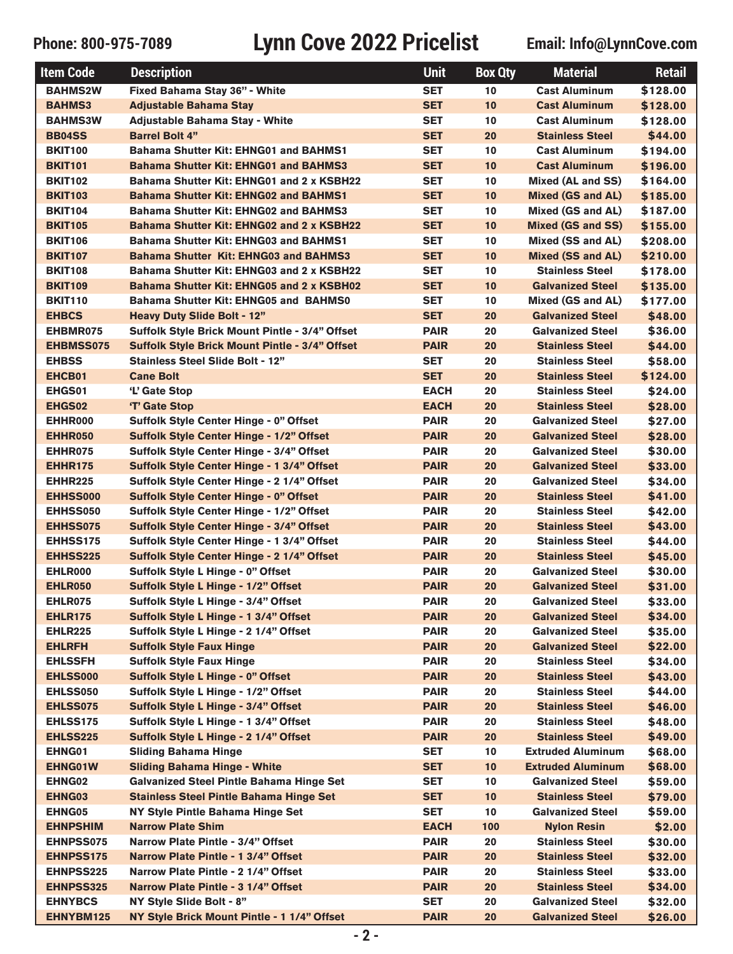| <b>Item Code</b> | <b>Description</b>                                    | <b>Unit</b> | <b>Box Qty</b> | <b>Material</b>          | Retail   |
|------------------|-------------------------------------------------------|-------------|----------------|--------------------------|----------|
| <b>BAHMS2W</b>   | Fixed Bahama Stay 36" - White                         | <b>SET</b>  | 10             | <b>Cast Aluminum</b>     | \$128.00 |
| <b>BAHMS3</b>    | <b>Adjustable Bahama Stay</b>                         | <b>SET</b>  | 10             | <b>Cast Aluminum</b>     | \$128.00 |
| <b>BAHMS3W</b>   | <b>Adjustable Bahama Stay - White</b>                 | <b>SET</b>  | 10             | <b>Cast Aluminum</b>     | \$128.00 |
| <b>BB04SS</b>    | <b>Barrel Bolt 4"</b>                                 | <b>SET</b>  | 20             | <b>Stainless Steel</b>   | \$44.00  |
| <b>BKIT100</b>   | <b>Bahama Shutter Kit: EHNG01 and BAHMS1</b>          | <b>SET</b>  | 10             | <b>Cast Aluminum</b>     | \$194.00 |
| <b>BKIT101</b>   | <b>Bahama Shutter Kit: EHNG01 and BAHMS3</b>          | <b>SET</b>  | 10             | <b>Cast Aluminum</b>     | \$196.00 |
| <b>BKIT102</b>   | Bahama Shutter Kit: EHNG01 and 2 x KSBH22             | <b>SET</b>  | 10             | Mixed (AL and SS)        | \$164.00 |
| <b>BKIT103</b>   | <b>Bahama Shutter Kit: EHNG02 and BAHMS1</b>          | <b>SET</b>  | 10             | <b>Mixed (GS and AL)</b> | \$185.00 |
| <b>BKIT104</b>   | <b>Bahama Shutter Kit: EHNG02 and BAHMS3</b>          | <b>SET</b>  | 10             | Mixed (GS and AL)        | \$187.00 |
| <b>BKIT105</b>   | Bahama Shutter Kit: EHNG02 and 2 x KSBH22             | <b>SET</b>  | 10             | <b>Mixed (GS and SS)</b> | \$155.00 |
| <b>BKIT106</b>   | <b>Bahama Shutter Kit: EHNG03 and BAHMS1</b>          | <b>SET</b>  | 10             | Mixed (SS and AL)        | \$208.00 |
| <b>BKIT107</b>   | <b>Bahama Shutter Kit: EHNG03 and BAHMS3</b>          | <b>SET</b>  | 10             | <b>Mixed (SS and AL)</b> | \$210.00 |
| <b>BKIT108</b>   | Bahama Shutter Kit: EHNG03 and 2 x KSBH22             | <b>SET</b>  | 10             | <b>Stainless Steel</b>   | \$178.00 |
| <b>BKIT109</b>   | Bahama Shutter Kit: EHNG05 and 2 x KSBH02             | <b>SET</b>  | 10             | <b>Galvanized Steel</b>  | \$135.00 |
| <b>BKIT110</b>   | <b>Bahama Shutter Kit: EHNG05 and BAHMS0</b>          | <b>SET</b>  | 10             | Mixed (GS and AL)        | \$177.00 |
| <b>EHBCS</b>     | <b>Heavy Duty Slide Bolt - 12"</b>                    | <b>SET</b>  | 20             | <b>Galvanized Steel</b>  | \$48.00  |
| EHBMR075         | <b>Suffolk Style Brick Mount Pintle - 3/4" Offset</b> | <b>PAIR</b> | 20             | <b>Galvanized Steel</b>  | \$36.00  |
| <b>EHBMSS075</b> | <b>Suffolk Style Brick Mount Pintle - 3/4" Offset</b> | <b>PAIR</b> | 20             | <b>Stainless Steel</b>   | \$44.00  |
| <b>EHBSS</b>     | <b>Stainless Steel Slide Bolt - 12"</b>               | <b>SET</b>  | 20             | <b>Stainless Steel</b>   | \$58.00  |
| EHCB01           | <b>Cane Bolt</b>                                      | <b>SET</b>  | 20             | <b>Stainless Steel</b>   | \$124.00 |
| EHGS01           | 'L' Gate Stop                                         | <b>EACH</b> | 20             | <b>Stainless Steel</b>   | \$24.00  |
| EHGS02           | 'T' Gate Stop                                         | <b>EACH</b> | 20             | <b>Stainless Steel</b>   | \$28.00  |
| EHHR000          | <b>Suffolk Style Center Hinge - 0" Offset</b>         | <b>PAIR</b> | 20             | <b>Galvanized Steel</b>  | \$27.00  |
| EHHR050          | <b>Suffolk Style Center Hinge - 1/2" Offset</b>       | <b>PAIR</b> | 20             | <b>Galvanized Steel</b>  | \$28.00  |
| EHHR075          | <b>Suffolk Style Center Hinge - 3/4" Offset</b>       | <b>PAIR</b> | 20             | <b>Galvanized Steel</b>  | \$30.00  |
| <b>EHHR175</b>   | <b>Suffolk Style Center Hinge - 1 3/4" Offset</b>     | <b>PAIR</b> | 20             | <b>Galvanized Steel</b>  | \$33.00  |
| <b>EHHR225</b>   | <b>Suffolk Style Center Hinge - 2 1/4" Offset</b>     | <b>PAIR</b> | 20             | <b>Galvanized Steel</b>  | \$34.00  |
| <b>EHHSS000</b>  | <b>Suffolk Style Center Hinge - 0" Offset</b>         | <b>PAIR</b> | 20             | <b>Stainless Steel</b>   | \$41.00  |
| EHHSS050         | <b>Suffolk Style Center Hinge - 1/2" Offset</b>       | <b>PAIR</b> | 20             | <b>Stainless Steel</b>   | \$42.00  |
| EHHSS075         | <b>Suffolk Style Center Hinge - 3/4" Offset</b>       | <b>PAIR</b> | 20             | <b>Stainless Steel</b>   | \$43.00  |
| <b>EHHSS175</b>  | Suffolk Style Center Hinge - 1 3/4" Offset            | <b>PAIR</b> | 20             | <b>Stainless Steel</b>   | \$44.00  |
| <b>EHHSS225</b>  | <b>Suffolk Style Center Hinge - 2 1/4" Offset</b>     | <b>PAIR</b> | 20             | <b>Stainless Steel</b>   | \$45.00  |
| EHLR000          | <b>Suffolk Style L Hinge - 0" Offset</b>              | <b>PAIR</b> | 20             | <b>Galvanized Steel</b>  | \$30.00  |
| EHLR050          | <b>Suffolk Style L Hinge - 1/2" Offset</b>            | <b>PAIR</b> | 20             | <b>Galvanized Steel</b>  | \$31.00  |
| EHLR075          | Suffolk Style L Hinge - 3/4" Offset                   | <b>PAIR</b> | 20             | <b>Galvanized Steel</b>  | \$33.00  |
| <b>EHLR175</b>   | Suffolk Style L Hinge - 1 3/4" Offset                 | <b>PAIR</b> | 20             | <b>Galvanized Steel</b>  | \$34.00  |
| <b>EHLR225</b>   | Suffolk Style L Hinge - 2 1/4" Offset                 | <b>PAIR</b> | 20             | <b>Galvanized Steel</b>  | \$35.00  |
| <b>EHLRFH</b>    | <b>Suffolk Style Faux Hinge</b>                       | <b>PAIR</b> | 20             | <b>Galvanized Steel</b>  | \$22.00  |
| <b>EHLSSFH</b>   | <b>Suffolk Style Faux Hinge</b>                       | <b>PAIR</b> | 20             | <b>Stainless Steel</b>   | \$34.00  |
| <b>EHLSS000</b>  | <b>Suffolk Style L Hinge - 0" Offset</b>              | <b>PAIR</b> | 20             | <b>Stainless Steel</b>   | \$43.00  |
| EHLSS050         | Suffolk Style L Hinge - 1/2" Offset                   | <b>PAIR</b> | 20             | <b>Stainless Steel</b>   | \$44.00  |
| EHLSS075         | <b>Suffolk Style L Hinge - 3/4" Offset</b>            | <b>PAIR</b> | 20             | <b>Stainless Steel</b>   | \$46.00  |
| <b>EHLSS175</b>  | Suffolk Style L Hinge - 1 3/4" Offset                 | <b>PAIR</b> | 20             | <b>Stainless Steel</b>   | \$48.00  |
| <b>EHLSS225</b>  | Suffolk Style L Hinge - 2 1/4" Offset                 | <b>PAIR</b> | 20             | <b>Stainless Steel</b>   | \$49.00  |
| EHNG01           | <b>Sliding Bahama Hinge</b>                           | <b>SET</b>  | 10             | <b>Extruded Aluminum</b> | \$68.00  |
| <b>EHNG01W</b>   | <b>Sliding Bahama Hinge - White</b>                   | <b>SET</b>  | 10             | <b>Extruded Aluminum</b> | \$68.00  |
| <b>EHNG02</b>    | Galvanized Steel Pintle Bahama Hinge Set              | <b>SET</b>  | 10             | <b>Galvanized Steel</b>  | \$59.00  |
| <b>EHNG03</b>    | <b>Stainless Steel Pintle Bahama Hinge Set</b>        | <b>SET</b>  | 10             | <b>Stainless Steel</b>   | \$79.00  |
| <b>EHNG05</b>    | NY Style Pintle Bahama Hinge Set                      | <b>SET</b>  | 10             | <b>Galvanized Steel</b>  | \$59.00  |
| <b>EHNPSHIM</b>  | <b>Narrow Plate Shim</b>                              | <b>EACH</b> | 100            | <b>Nylon Resin</b>       | \$2.00   |
| <b>EHNPSS075</b> | Narrow Plate Pintle - 3/4" Offset                     | <b>PAIR</b> | 20             | <b>Stainless Steel</b>   | \$30.00  |
| <b>EHNPSS175</b> | Narrow Plate Pintle - 1 3/4" Offset                   | <b>PAIR</b> | 20             | <b>Stainless Steel</b>   | \$32.00  |
| <b>EHNPSS225</b> | Narrow Plate Pintle - 2 1/4" Offset                   | <b>PAIR</b> | 20             | <b>Stainless Steel</b>   | \$33.00  |
| <b>EHNPSS325</b> | Narrow Plate Pintle - 3 1/4" Offset                   | <b>PAIR</b> | 20             | <b>Stainless Steel</b>   | \$34.00  |
| <b>EHNYBCS</b>   | NY Style Slide Bolt - 8"                              | <b>SET</b>  | 20             | <b>Galvanized Steel</b>  | \$32.00  |
| EHNYBM125        | NY Style Brick Mount Pintle - 1 1/4" Offset           | <b>PAIR</b> | 20             | <b>Galvanized Steel</b>  | \$26.00  |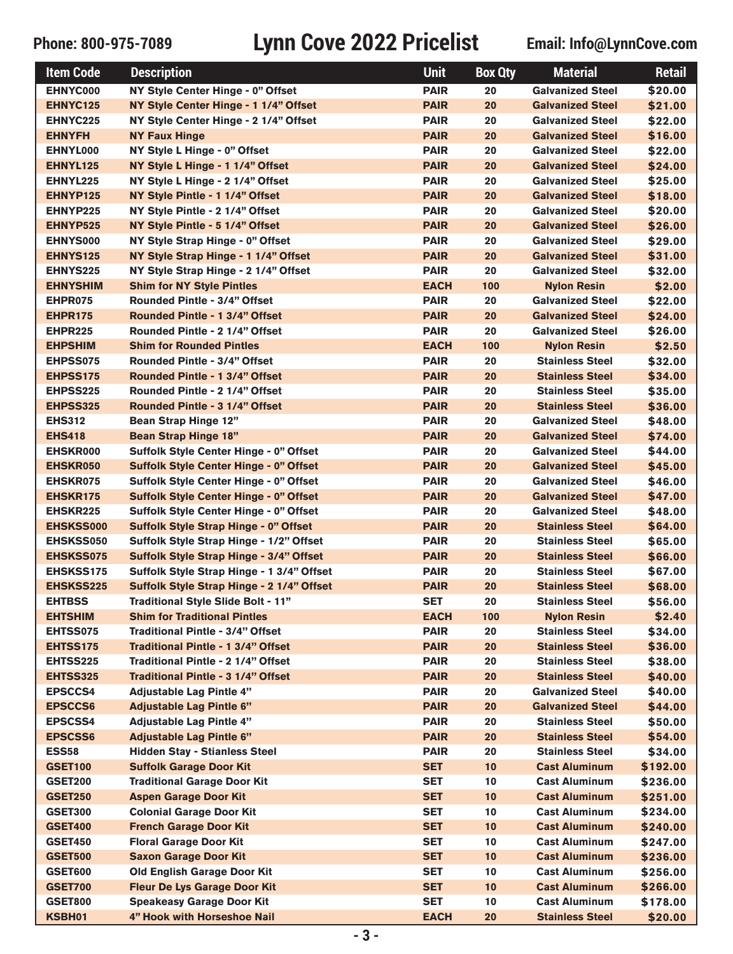| <b>Item Code</b> | <b>Description</b>                             | <b>Unit</b> | <b>Box Qty</b> | <b>Material</b>         | <b>Retail</b> |
|------------------|------------------------------------------------|-------------|----------------|-------------------------|---------------|
| EHNYC000         | NY Style Center Hinge - 0" Offset              | <b>PAIR</b> | 20             | <b>Galvanized Steel</b> | \$20.00       |
| <b>EHNYC125</b>  | NY Style Center Hinge - 1 1/4" Offset          | <b>PAIR</b> | 20             | <b>Galvanized Steel</b> | \$21.00       |
| <b>EHNYC225</b>  | NY Style Center Hinge - 2 1/4" Offset          | <b>PAIR</b> | 20             | <b>Galvanized Steel</b> | \$22.00       |
| <b>EHNYFH</b>    | <b>NY Faux Hinge</b>                           | <b>PAIR</b> | 20             | <b>Galvanized Steel</b> | \$16.00       |
| EHNYL000         | NY Style L Hinge - 0" Offset                   | <b>PAIR</b> | 20             | <b>Galvanized Steel</b> | \$22.00       |
| EHNYL125         | NY Style L Hinge - 1 1/4" Offset               | <b>PAIR</b> | 20             | <b>Galvanized Steel</b> | \$24.00       |
| EHNYL225         | NY Style L Hinge - 2 1/4" Offset               | <b>PAIR</b> | 20             | <b>Galvanized Steel</b> | \$25.00       |
| EHNYP125         | NY Style Pintle - 1 1/4" Offset                | <b>PAIR</b> | 20             | <b>Galvanized Steel</b> | \$18.00       |
| EHNYP225         | NY Style Pintle - 2 1/4" Offset                | <b>PAIR</b> | 20             | <b>Galvanized Steel</b> | \$20.00       |
| EHNYP525         | NY Style Pintle - 5 1/4" Offset                | <b>PAIR</b> | 20             | <b>Galvanized Steel</b> | \$26.00       |
| <b>EHNYS000</b>  | NY Style Strap Hinge - 0" Offset               | <b>PAIR</b> | 20             | <b>Galvanized Steel</b> | \$29.00       |
| <b>EHNYS125</b>  | NY Style Strap Hinge - 1 1/4" Offset           | <b>PAIR</b> | 20             | <b>Galvanized Steel</b> | \$31.00       |
| <b>EHNYS225</b>  | NY Style Strap Hinge - 2 1/4" Offset           | <b>PAIR</b> | 20             | <b>Galvanized Steel</b> | \$32.00       |
| <b>EHNYSHIM</b>  | <b>Shim for NY Style Pintles</b>               | <b>EACH</b> | 100            | <b>Nylon Resin</b>      | \$2.00        |
| EHPR075          | <b>Rounded Pintle - 3/4" Offset</b>            | <b>PAIR</b> | 20             | <b>Galvanized Steel</b> | \$22.00       |
| EHPR175          | Rounded Pintle - 1 3/4" Offset                 | <b>PAIR</b> | 20             | <b>Galvanized Steel</b> | \$24.00       |
| EHPR225          | Rounded Pintle - 2 1/4" Offset                 | <b>PAIR</b> | 20             | <b>Galvanized Steel</b> | \$26.00       |
| <b>EHPSHIM</b>   | <b>Shim for Rounded Pintles</b>                | <b>EACH</b> | 100            | <b>Nylon Resin</b>      | \$2.50        |
| <b>EHPSS075</b>  | <b>Rounded Pintle - 3/4" Offset</b>            | <b>PAIR</b> | 20             | <b>Stainless Steel</b>  | \$32.00       |
| EHPSS175         | Rounded Pintle - 1 3/4" Offset                 | <b>PAIR</b> | 20             | <b>Stainless Steel</b>  | \$34.00       |
| <b>EHPSS225</b>  | Rounded Pintle - 2 1/4" Offset                 | <b>PAIR</b> | 20             | <b>Stainless Steel</b>  | \$35.00       |
| EHPSS325         | Rounded Pintle - 3 1/4" Offset                 | <b>PAIR</b> | 20             | <b>Stainless Steel</b>  | \$36.00       |
| <b>EHS312</b>    | <b>Bean Strap Hinge 12"</b>                    | <b>PAIR</b> | 20             | <b>Galvanized Steel</b> | \$48.00       |
| <b>EHS418</b>    | <b>Bean Strap Hinge 18"</b>                    | <b>PAIR</b> | 20             | <b>Galvanized Steel</b> | \$74.00       |
| <b>EHSKR000</b>  | Suffolk Style Center Hinge - 0" Offset         | <b>PAIR</b> | 20             | <b>Galvanized Steel</b> | \$44.00       |
| <b>EHSKR050</b>  | <b>Suffolk Style Center Hinge - 0" Offset</b>  | <b>PAIR</b> | 20             | <b>Galvanized Steel</b> | \$45.00       |
| <b>EHSKR075</b>  | Suffolk Style Center Hinge - 0" Offset         | <b>PAIR</b> | 20             | <b>Galvanized Steel</b> | \$46.00       |
| <b>EHSKR175</b>  | <b>Suffolk Style Center Hinge - 0" Offset</b>  | <b>PAIR</b> | 20             | <b>Galvanized Steel</b> | \$47.00       |
| <b>EHSKR225</b>  | Suffolk Style Center Hinge - 0" Offset         | <b>PAIR</b> | 20             | <b>Galvanized Steel</b> | \$48.00       |
| <b>EHSKSS000</b> | Suffolk Style Strap Hinge - 0" Offset          | <b>PAIR</b> | 20             | <b>Stainless Steel</b>  | \$64.00       |
| <b>EHSKSS050</b> | Suffolk Style Strap Hinge - 1/2" Offset        | <b>PAIR</b> | 20             | <b>Stainless Steel</b>  | \$65.00       |
| <b>EHSKSS075</b> | <b>Suffolk Style Strap Hinge - 3/4" Offset</b> | <b>PAIR</b> | 20             | <b>Stainless Steel</b>  | \$66.00       |
| <b>EHSKSS175</b> | Suffolk Style Strap Hinge - 1 3/4" Offset      | <b>PAIR</b> | 20             | <b>Stainless Steel</b>  | \$67.00       |
| <b>EHSKSS225</b> | Suffolk Style Strap Hinge - 2 1/4" Offset      | <b>PAIR</b> | 20             | <b>Stainless Steel</b>  | \$68.00       |
| <b>EHTBSS</b>    | Traditional Style Slide Bolt - 11"             | SET         | 20             | <b>Stainless Steel</b>  | \$56.00       |
| <b>EHTSHIM</b>   | <b>Shim for Traditional Pintles</b>            | <b>EACH</b> | 100            | <b>Nylon Resin</b>      | \$2.40        |
| EHTSS075         | Traditional Pintle - 3/4" Offset               | <b>PAIR</b> | 20             | <b>Stainless Steel</b>  | \$34.00       |
| <b>EHTSS175</b>  | <b>Traditional Pintle - 1 3/4" Offset</b>      | <b>PAIR</b> | 20             | <b>Stainless Steel</b>  | \$36.00       |
| <b>EHTSS225</b>  | Traditional Pintle - 2 1/4" Offset             | <b>PAIR</b> | 20             | <b>Stainless Steel</b>  | \$38.00       |
| <b>EHTSS325</b>  | <b>Traditional Pintle - 3 1/4" Offset</b>      | <b>PAIR</b> | 20             | <b>Stainless Steel</b>  | \$40.00       |
| <b>EPSCCS4</b>   | <b>Adjustable Lag Pintle 4"</b>                | <b>PAIR</b> | 20             | <b>Galvanized Steel</b> | \$40.00       |
| <b>EPSCCS6</b>   | <b>Adjustable Lag Pintle 6"</b>                | <b>PAIR</b> | 20             | <b>Galvanized Steel</b> | \$44.00       |
| <b>EPSCSS4</b>   | <b>Adjustable Lag Pintle 4"</b>                | <b>PAIR</b> | 20             | <b>Stainless Steel</b>  | \$50.00       |
| <b>EPSCSS6</b>   | <b>Adjustable Lag Pintle 6"</b>                | <b>PAIR</b> | 20             | <b>Stainless Steel</b>  | \$54.00       |
| <b>ESS58</b>     | <b>Hidden Stay - Stianless Steel</b>           | <b>PAIR</b> | 20             | <b>Stainless Steel</b>  | \$34.00       |
| <b>GSET100</b>   | <b>Suffolk Garage Door Kit</b>                 | <b>SET</b>  | 10             | <b>Cast Aluminum</b>    | \$192.00      |
| <b>GSET200</b>   | <b>Traditional Garage Door Kit</b>             | <b>SET</b>  | 10             | <b>Cast Aluminum</b>    | \$236.00      |
| <b>GSET250</b>   | <b>Aspen Garage Door Kit</b>                   | <b>SET</b>  | 10             | <b>Cast Aluminum</b>    | \$251.00      |
| <b>GSET300</b>   | <b>Colonial Garage Door Kit</b>                | <b>SET</b>  | 10             | <b>Cast Aluminum</b>    | \$234.00      |
| <b>GSET400</b>   | <b>French Garage Door Kit</b>                  | <b>SET</b>  | 10             | <b>Cast Aluminum</b>    | \$240.00      |
| <b>GSET450</b>   | <b>Floral Garage Door Kit</b>                  | <b>SET</b>  | 10             | <b>Cast Aluminum</b>    | \$247.00      |
| <b>GSET500</b>   | <b>Saxon Garage Door Kit</b>                   | <b>SET</b>  | 10             | <b>Cast Aluminum</b>    | \$236.00      |
| <b>GSET600</b>   | <b>Old English Garage Door Kit</b>             | <b>SET</b>  | 10             | <b>Cast Aluminum</b>    | \$256.00      |
| <b>GSET700</b>   | <b>Fleur De Lys Garage Door Kit</b>            | <b>SET</b>  | 10             | <b>Cast Aluminum</b>    | \$266.00      |
| <b>GSET800</b>   | <b>Speakeasy Garage Door Kit</b>               | <b>SET</b>  | 10             | <b>Cast Aluminum</b>    | \$178.00      |
| KSBH01           | 4" Hook with Horseshoe Nail                    | <b>EACH</b> | 20             | <b>Stainless Steel</b>  | \$20.00       |